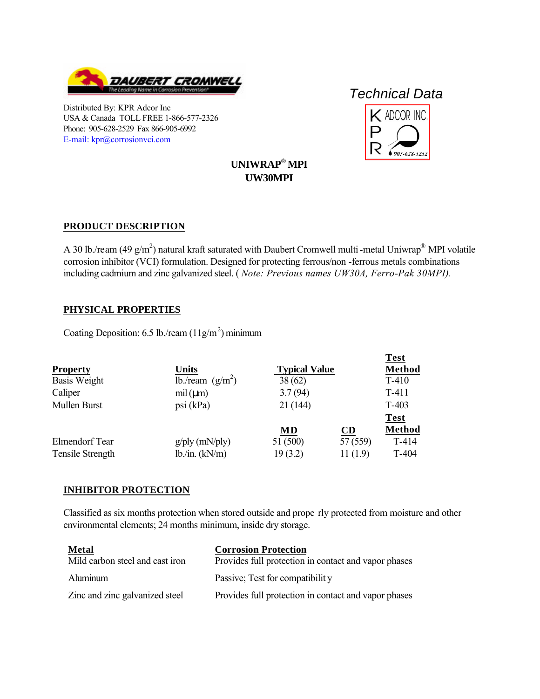

Distributed By: KPR Adcor Inc USA & Canada TOLL FREE 1-866-577-2326 Phone: 905-628-2529 Fax 866-905-6992 [E-mail: kpr@corrosionvci.com](mailto:kpr@corrosionvci.com)

# *Technical Data*



**Test** 

## **UNIWRAP® MPI UW30MPI**

## **PRODUCT DESCRIPTION**

A 30 lb./ream (49 g/m<sup>2</sup>) natural kraft saturated with Daubert Cromwell multi-metal Uniwrap<sup>®</sup> MPI volatile [corrosion inhibitor \(VCI\) formulation. Designed for protecting ferrous/non](https://www.corrosionvci.com/corrosion/proddetail.php?prod=UW30A-36) -ferrous metals combinations including cadmium and zinc galvanized steel. ( *Note: Previous names UW30A, Ferro-Pak 30MPI).*

#### **PHYSICAL PROPERTIES**

Coating Deposition: 6.5 lb./ream  $(11g/m<sup>2</sup>)$  minimum

|                  |                     |                      |           | 1 est         |
|------------------|---------------------|----------------------|-----------|---------------|
| <b>Property</b>  | <b>Units</b>        | <b>Typical Value</b> |           | <b>Method</b> |
| Basis Weight     | lb./ream $(g/m^2)$  | 38(62)               |           | $T-410$       |
| Caliper          | mil (µm)            | 3.7(94)              |           | $T-411$       |
| Mullen Burst     | psi (kPa)           | 21(144)              |           | $T-403$       |
|                  |                     |                      |           | <b>Test</b>   |
|                  |                     | MD                   | <b>CD</b> | <b>Method</b> |
| Elmendorf Tear   | $g$ /ply (mN/ply)   | 51 (500)             | 57 (559)  | $T-414$       |
| Tensile Strength | $lb$ ./in. $(kN/m)$ | 19(3.2)              | 11(1.9)   | $T-404$       |
|                  |                     |                      |           |               |

## **INHIBITOR PROTECTION**

Classified as six months protection when stored outside and prope rly protected from moisture and other environmental elements; 24 months minimum, inside dry storage.

| <b>Metal</b>                    | <b>Corrosion Protection</b>                          |
|---------------------------------|------------------------------------------------------|
| Mild carbon steel and cast iron | Provides full protection in contact and vapor phases |
| Aluminum                        | Passive; Test for compatibility                      |
| Zinc and zinc galvanized steel  | Provides full protection in contact and vapor phases |